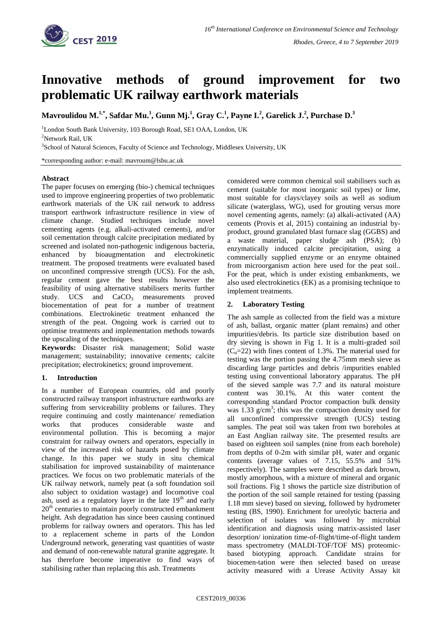

# **Innovative methods of ground improvement for two problematic UK railway earthwork materials**

 $\bf{M}$ avroulidou  $\bf{M}.^{1,*},$  Safdar  $\bf{M}$ u. $^1$ , Gunn  $\bf{M}$ j. $^1$ , Gray C. $^1$ , Payne I. $^2$ , Garelick J. $^2$ , Purchase D. $^3$ 

<sup>1</sup>London South Bank University, 103 Borough Road, SE1 OAA, London, UK

 $2$ Network Rail, UK

<sup>3</sup>School of Natural Sciences, Faculty of Science and Technology, Middlesex University, UK

\*corresponding author: e-mail: mavroum@lsbu.ac.uk

## **Abstract**

The paper focuses on emerging (bio-) chemical techniques used to improve engineering properties of two problematic earthwork materials of the UK rail network to address transport earthwork infrastructure resilience in view of climate change. Studied techniques include novel cementing agents (e.g. alkali-activated cements), and/or soil cementation through calcite precipitation mediated by screened and isolated non-pathogenic indigenous bacteria, enhanced by bioaugmentation and electrokinetic treatment. The proposed treatments were evaluated based on unconfined compressive strength (UCS). For the ash, regular cement gave the best results however the feasibility of using alternative stabilisers merits further study. UCS and CaCO<sub>3</sub> measurements proved biocementation of peat for a number of treatment combinations. Electrokinetic treatment enhanced the strength of the peat. Ongoing work is carried out to optimise treatments and implementation methods towards the upscaling of the techniques.

**Keywords:** Disaster risk management; Solid waste management; sustainability; innovative cements; calcite precipitation; electrokinetics; ground improvement.

## **1. Introduction**

In a number of European countries, old and poorly constructed railway transport infrastructure earthworks are suffering from serviceability problems or failures. They require continuing and costly maintenance/ remediation works that produces considerable waste and environmental pollution. This is becoming a major constraint for railway owners and operators, especially in view of the increased risk of hazards posed by climate change. In this paper we study in situ chemical stabilisation for improved sustainability of maintenance practices. We focus on two problematic materials of the UK railway network, namely peat (a soft foundation soil also subject to oxidation wastage) and locomotive coal ash, used as a regulatory layer in the late  $19<sup>th</sup>$  and early  $20<sup>th</sup>$  centuries to maintain poorly constructed embankment height. Ash degradation has since been causing continued problems for railway owners and operators. This has led to a replacement scheme in parts of the London Underground network, generating vast quantities of waste and demand of non-renewable natural granite aggregate. It has therefore become imperative to find ways of stabilising rather than replacing this ash. Treatments

considered were common chemical soil stabilisers such as cement (suitable for most inorganic soil types) or lime, most suitable for clays/clayey soils as well as sodium silicate (waterglass, WG), used for grouting versus more novel cementing agents, namely: (a) alkali-activated (AA) cements (Provis et al, 2015) containing an industrial byproduct, ground granulated blast furnace slag (GGBS) and a waste material, paper sludge ash (PSA); (b) enzymatically induced calcite precipitation, using a commercially supplied enzyme or an enzyme obtained from microorganism action here used for the peat soil.. For the peat, which is under existing embankments, we also used electrokinetics (EK) as a promising technique to implement treatments.

# **2. Laboratory Testing**

The ash sample as collected from the field was a mixture of ash, ballast, organic matter (plant remains) and other impurities/debris. Its particle size distribution based on dry sieving is shown in Fig 1. It is a multi-graded soil  $(C<sub>u</sub>=22)$  with fines content of 1.3%. The material used for testing was the portion passing the 4.75mm mesh sieve as discarding large particles and debris /impurities enabled testing using conventional laboratory apparatus. The pH of the sieved sample was 7.7 and its natural moisture content was 30.1%. At this water content the corresponding standard Proctor compaction bulk density was  $1.33$  g/cm<sup>3</sup>; this was the compaction density used for all unconfined compressive strength (UCS) testing samples. The peat soil was taken from two boreholes at an East Anglian railway site. The presented results are based on eighteen soil samples (nine from each borehole) from depths of 0-2m with similar pH, water and organic contents (average values of 7.15, 55.5% and 51% respectively). The samples were described as dark brown, mostly amorphous, with a mixture of mineral and organic soil fractions. Fig 1 shows the particle size distribution of the portion of the soil sample retained for testing (passing 1.18 mm sieve) based on sieving, followed by hydrometer testing (BS, 1990). Enrichment for ureolytic bacteria and selection of isolates was followed by microbial identification and diagnosis using matrix-assisted laser desorption/ ionization time-of-flight/time-of-flight tandem mass spectrometry (MALDI-TOF/TOF MS) proteomicbased biotyping approach. Candidate strains for biocemen-tation were then selected based on urease activity measured with a Urease Activity Assay kit